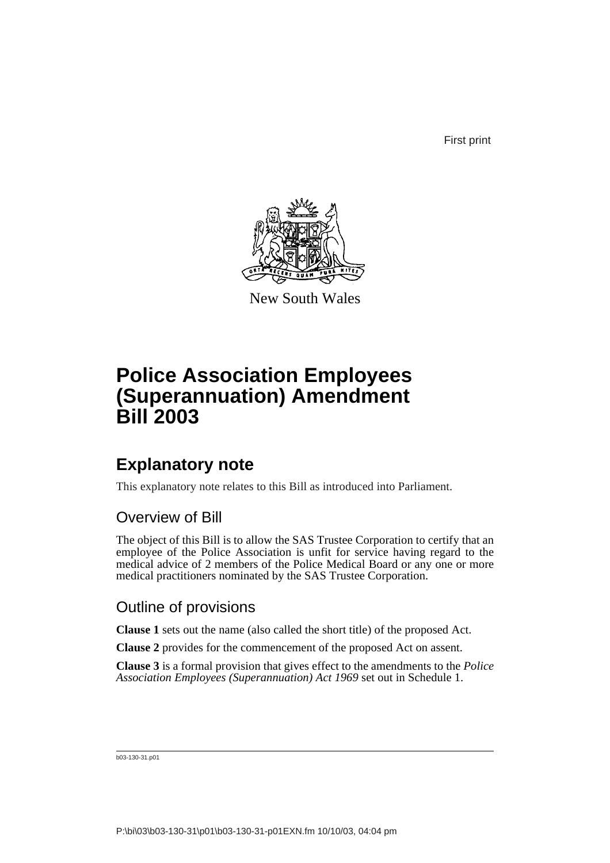First print



New South Wales

# **Police Association Employees (Superannuation) Amendment Bill 2003**

### **Explanatory note**

This explanatory note relates to this Bill as introduced into Parliament.

#### Overview of Bill

The object of this Bill is to allow the SAS Trustee Corporation to certify that an employee of the Police Association is unfit for service having regard to the medical advice of 2 members of the Police Medical Board or any one or more medical practitioners nominated by the SAS Trustee Corporation.

#### Outline of provisions

**Clause 1** sets out the name (also called the short title) of the proposed Act.

**Clause 2** provides for the commencement of the proposed Act on assent.

**Clause 3** is a formal provision that gives effect to the amendments to the *Police Association Employees (Superannuation) Act 1969* set out in Schedule 1.

b03-130-31.p01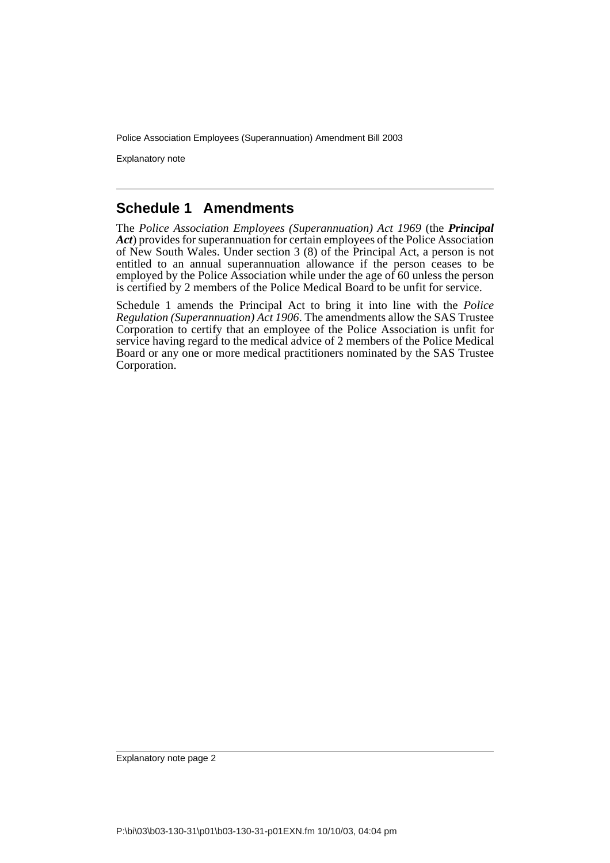Police Association Employees (Superannuation) Amendment Bill 2003

Explanatory note

#### **Schedule 1 Amendments**

The *Police Association Employees (Superannuation) Act 1969* (the *Principal Act*) provides for superannuation for certain employees of the Police Association of New South Wales. Under section 3 (8) of the Principal Act, a person is not entitled to an annual superannuation allowance if the person ceases to be employed by the Police Association while under the age of  $60$  unless the person is certified by 2 members of the Police Medical Board to be unfit for service.

Schedule 1 amends the Principal Act to bring it into line with the *Police Regulation (Superannuation) Act 1906*. The amendments allow the SAS Trustee Corporation to certify that an employee of the Police Association is unfit for service having regard to the medical advice of 2 members of the Police Medical Board or any one or more medical practitioners nominated by the SAS Trustee Corporation.

Explanatory note page 2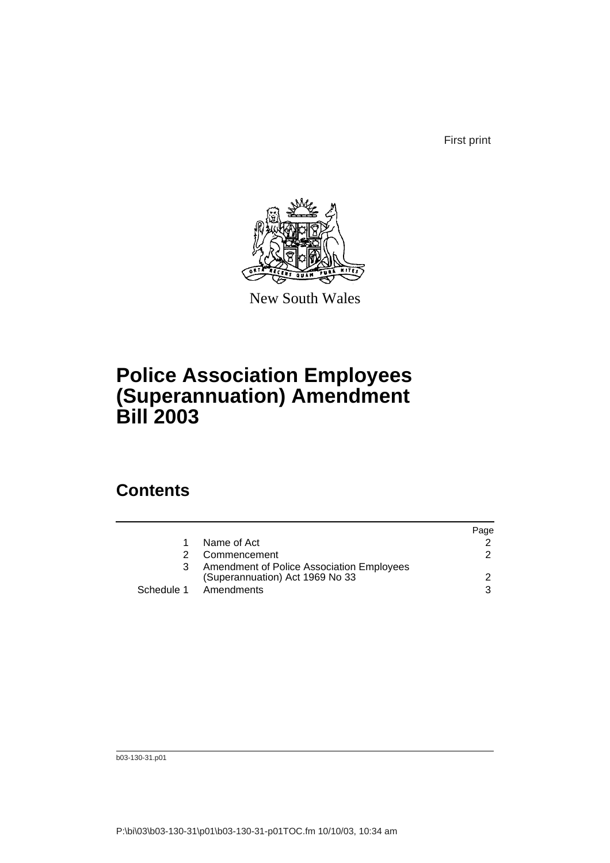First print



New South Wales

# **Police Association Employees (Superannuation) Amendment Bill 2003**

#### **Contents**

|    |                                                                              | Page |
|----|------------------------------------------------------------------------------|------|
| 1  | Name of Act                                                                  |      |
| 2. | Commencement                                                                 | 2    |
| 3  | Amendment of Police Association Employees<br>(Superannuation) Act 1969 No 33 | 2    |
|    |                                                                              | 3    |
|    | Schedule 1 Amendments                                                        |      |

b03-130-31.p01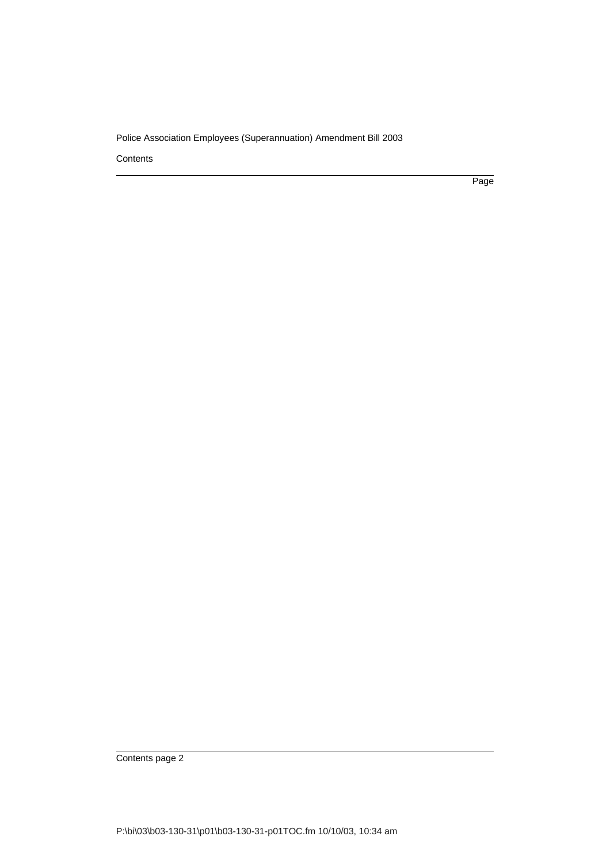#### Police Association Employees (Superannuation) Amendment Bill 2003

**Contents** 

Page

Contents page 2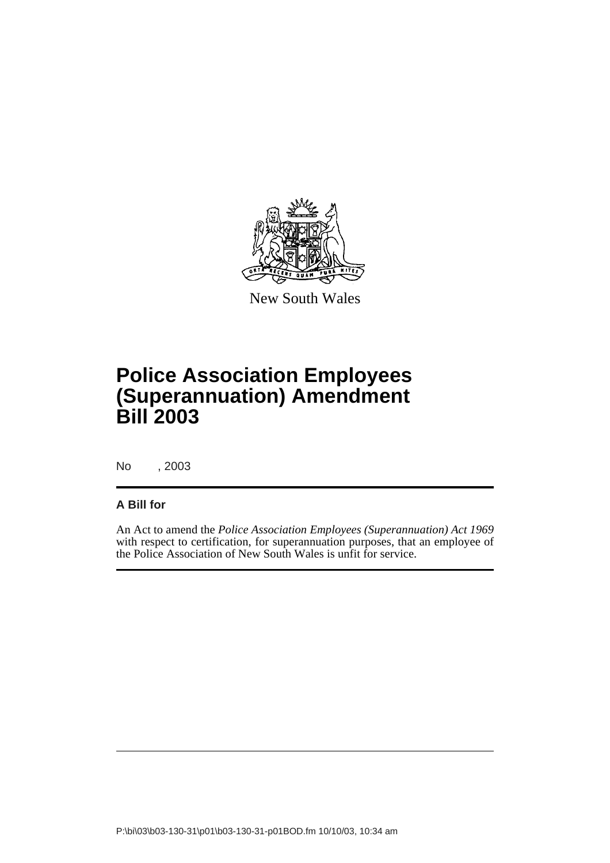

New South Wales

# **Police Association Employees (Superannuation) Amendment Bill 2003**

No , 2003

#### **A Bill for**

An Act to amend the *Police Association Employees (Superannuation) Act 1969* with respect to certification, for superannuation purposes, that an employee of the Police Association of New South Wales is unfit for service.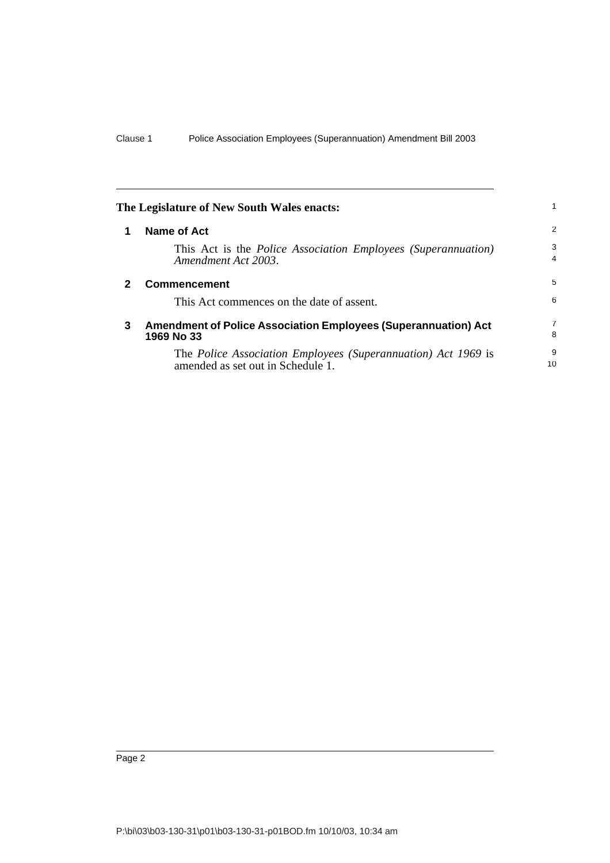<span id="page-5-2"></span><span id="page-5-1"></span><span id="page-5-0"></span>

| The Legislature of New South Wales enacts: |                                                                                                    |         |
|--------------------------------------------|----------------------------------------------------------------------------------------------------|---------|
|                                            | <b>Name of Act</b>                                                                                 | 2       |
|                                            | This Act is the <i>Police Association Employees (Superannuation)</i><br>Amendment Act 2003.        | 3<br>4  |
| 2                                          | <b>Commencement</b>                                                                                | 5       |
|                                            | This Act commences on the date of assent.                                                          | 6       |
| 3                                          | <b>Amendment of Police Association Employees (Superannuation) Act</b><br>1969 No 33                | 7<br>8  |
|                                            | The Police Association Employees (Superannuation) Act 1969 is<br>amended as set out in Schedule 1. | 9<br>10 |